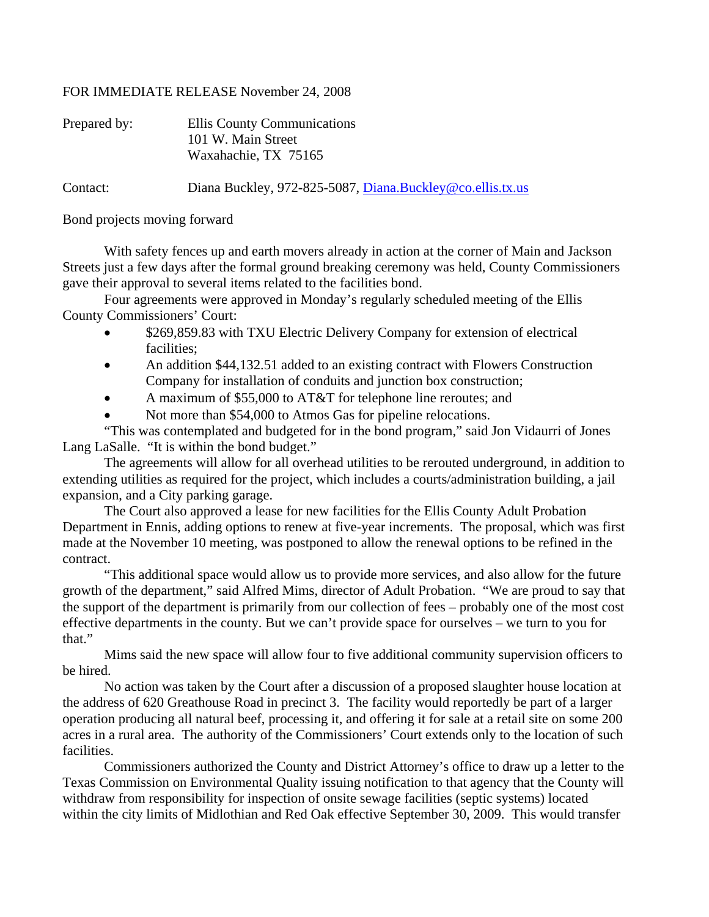## FOR IMMEDIATE RELEASE November 24, 2008

| Prepared by: | Ellis County Communications                               |
|--------------|-----------------------------------------------------------|
|              | 101 W. Main Street                                        |
|              | Waxahachie, TX 75165                                      |
| Contact:     | Diana Buckley, 972-825-5087, Diana.Buckley@co.ellis.tx.us |

Bond projects moving forward

 With safety fences up and earth movers already in action at the corner of Main and Jackson Streets just a few days after the formal ground breaking ceremony was held, County Commissioners gave their approval to several items related to the facilities bond.

 Four agreements were approved in Monday's regularly scheduled meeting of the Ellis County Commissioners' Court:

- \$269,859.83 with TXU Electric Delivery Company for extension of electrical facilities;
- An addition \$44,132.51 added to an existing contract with Flowers Construction Company for installation of conduits and junction box construction;
- A maximum of \$55,000 to AT&T for telephone line reroutes; and
- Not more than \$54,000 to Atmos Gas for pipeline relocations.

"This was contemplated and budgeted for in the bond program," said Jon Vidaurri of Jones Lang LaSalle. "It is within the bond budget."

The agreements will allow for all overhead utilities to be rerouted underground, in addition to extending utilities as required for the project, which includes a courts/administration building, a jail expansion, and a City parking garage.

The Court also approved a lease for new facilities for the Ellis County Adult Probation Department in Ennis, adding options to renew at five-year increments. The proposal, which was first made at the November 10 meeting, was postponed to allow the renewal options to be refined in the contract.

"This additional space would allow us to provide more services, and also allow for the future growth of the department," said Alfred Mims, director of Adult Probation. "We are proud to say that the support of the department is primarily from our collection of fees – probably one of the most cost effective departments in the county. But we can't provide space for ourselves – we turn to you for that."

Mims said the new space will allow four to five additional community supervision officers to be hired.

No action was taken by the Court after a discussion of a proposed slaughter house location at the address of 620 Greathouse Road in precinct 3. The facility would reportedly be part of a larger operation producing all natural beef, processing it, and offering it for sale at a retail site on some 200 acres in a rural area. The authority of the Commissioners' Court extends only to the location of such facilities.

Commissioners authorized the County and District Attorney's office to draw up a letter to the Texas Commission on Environmental Quality issuing notification to that agency that the County will withdraw from responsibility for inspection of onsite sewage facilities (septic systems) located within the city limits of Midlothian and Red Oak effective September 30, 2009. This would transfer